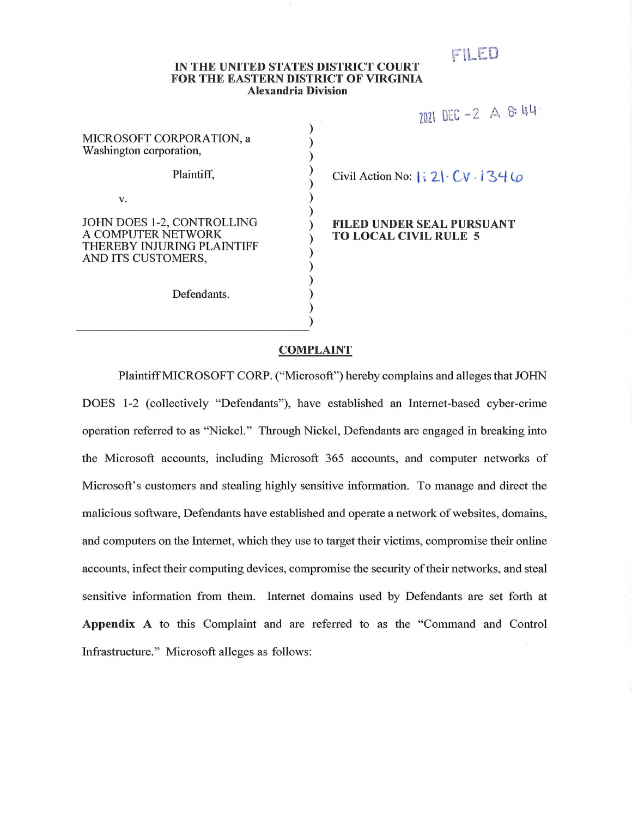# ril-ED

#### **IN THE UNITED STATES DISTRICT COURT FOR THE EASTERN DISTRICT OF VIRGINIA Alexandria Division**

| <b>MICROSOFT CORPORATION, a</b><br>Washington corporation,                                           |  |
|------------------------------------------------------------------------------------------------------|--|
| Plaintiff,                                                                                           |  |
| V.                                                                                                   |  |
| JOHN DOES 1-2, CONTROLLING<br>A COMPUTER NETWORK<br>THEREBY INJURING PLAINTIFF<br>AND ITS CUSTOMERS, |  |
| Defendants.                                                                                          |  |

# $2021$  DEC -2 A 8:44

Civil Action No: | i, 2| · CV · 134 *U* 

# ) **FILED UNDER SEAL PURSUANT ) TO LOCAL CIVIL RULE 5**

#### **COMPLAINT**

**) )**

Plaintiff MICROSOFT CORP. ("Microsoft") hereby complains and alleges that JOHN DOES 1-2 (collectively "Defendants"), have established an Internet-based cyber-crime operation referred to as "Nickel." Through Nickel, Defendants are engaged in breaking into the Microsoft accounts, including Microsoft 365 accounts, and computer networks of Microsoft's customers and stealing highly sensitive information. To manage and direct the malicious software, Defendants have established and operate a network of websites, domains, and computers on the Internet, which they use to target their victims, compromise their online accounts, infect their computing devices, compromise the security of their networks, and steal sensitive information from them. Internet domains used by Defendants are set forth at **Appendix** A to this Complaint and are referred to as the "Command and Control Infrastructure." Microsoft alleges as follows: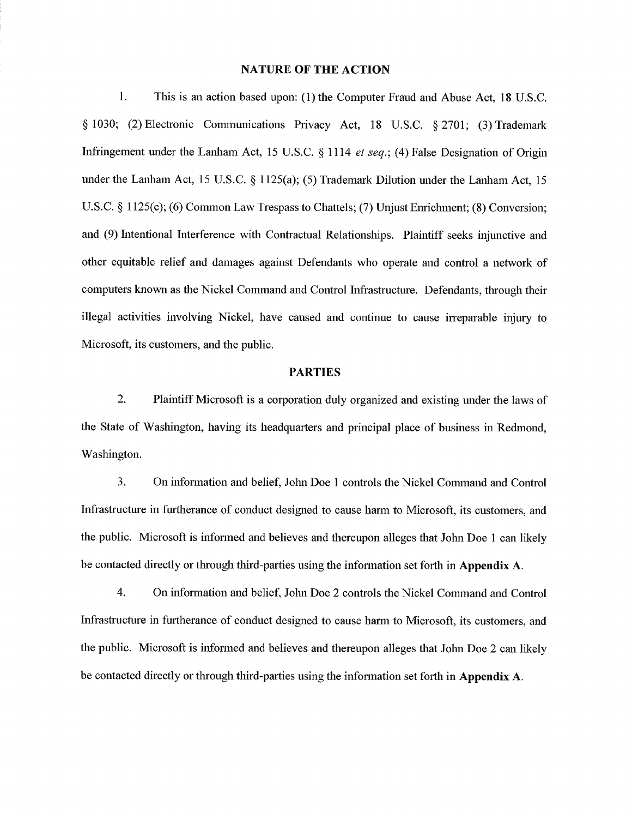#### **NATURE OF THE ACTION**

1. This is an action based upon: (1) the Computer Fraud and Abuse Act, 18 U.S.C. § 1030; (2) Electronic Communications Privacy Act, 18 U.S.C. § 2701; (3) Trademark Infringement under the Lanham Act, 15 U.S.C. § 1114 *et seq.*; (4) False Designation of Origin under the Lanham Act, 15 U.S.C. § 1125(a); (5) Trademark Dilution under the Lanham Act, 15 U.S.C. § 1125(c); (6) Common Law Trespass to Chattels; (7) Unjust Enrichment; (8) Conversion; and (9) hitentional Interference with Contractual Relationships. Plaintiff seeks injunctive and other equitable relief and damages against Defendants who operate and control a network of computers known as the Nickel Command and Control Infrastructure. Defendants, through their illegal activities involving Nickel, have caused and continue to cause irreparable injury to Microsoft, its customers, and the public.

# **PARTIES**

2. Plamtiff Microsoft is a corporation duly organized and existing under the laws of the State of Washington, having its headquarters and principal place of business in Redmond, Washington.

3. On uiformation and belief, John Doe <sup>1</sup> controls the Nickel Command and Control Infrastructure in furtherance of conduct designed to cause harm to Microsoft, its customers, and the public. Microsoft is informed and believes and thereupon alleges that John Doe 1 can likely be contacted directly or through third-parties using the information set forth in **Appendix** A.

4. On uiformation and belief, Jolm Doe 2 controls the Nickel Command and Control Infrastructure in furtherance of conduct designed to cause harm to Microsoft, its customers, and the public. Microsoft is infonned and believes and thereupon alleges that Jolm Doe 2 can likely be contacted directly or through third-parties using the information set forth in **Appendix A.**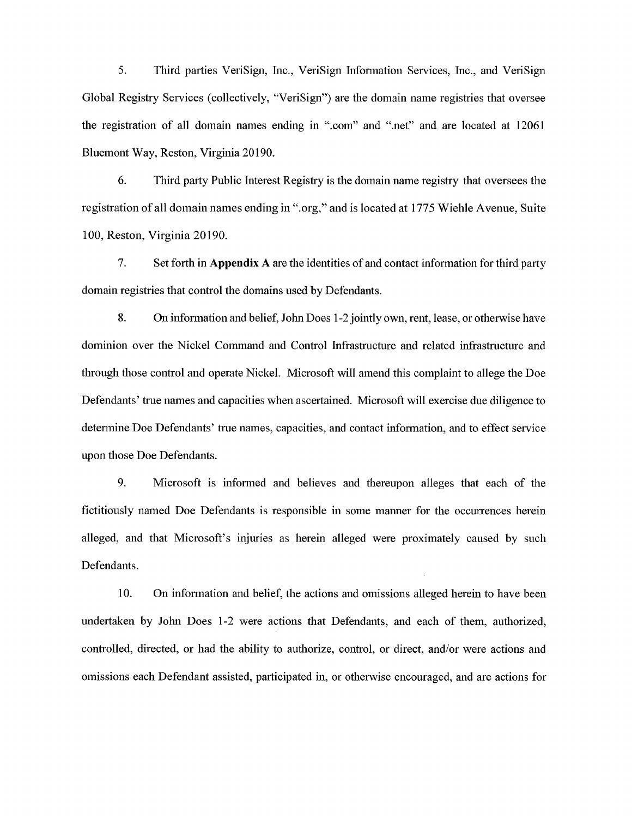5. Third parties VeriSign, lire., VeriSign hifonnation Services, Inc., and VeriSign Global Registry Services (collectively, "VeriSign") are the domain name registries that oversee the registration of all domain names ending in ".com" and ".net" and are located at 12061 Bluemont Way, Reston, Virginia 20190.

6. Third party Public hiterest Registry is the domain name registry that oversees the registration ofall domain names ending in ".org," and is located at 1775 Wiehle Avenue, Suite 100, Reston, Virginia 20190.

7. Set forth in **Appendix A** are the identities of and contact hifonnation for third party domain registries that control the domains used by Defendants.

8. On information and belief, John Does 1-2 jointly own, rent, lease, or otherwise have domhiion over the Nickel Command and Control hifrastructure and related uifrastructure and tlirough those control and operate Nickel. Microsoft will amend tins complaint to allege the Doe Defendants' true names and capacities when ascertained. Microsoft will exercise due diligence to determine Doe Defendants' true names, capacities, and contact information, and to effect service upon those Doe Defendants.

9. Microsoft is informed and believes and thereupon alleges that each of the fictitiously named Doe Defendants is responsible in some manner for the occurrences herein alleged, and that Microsoft's injuries as herein alleged were proximately caused by such Defendants.

10. On information and belief, the actions and omissions alleged herein to have been undertaken by John Does 1-2 were actions that Defendants, and each of them, authorized, controlled, directed, or had the ability to authorize, control, or direct, and/or were actions and omissions each Defendant assisted, participated in, or otherwise encouraged, and are actions for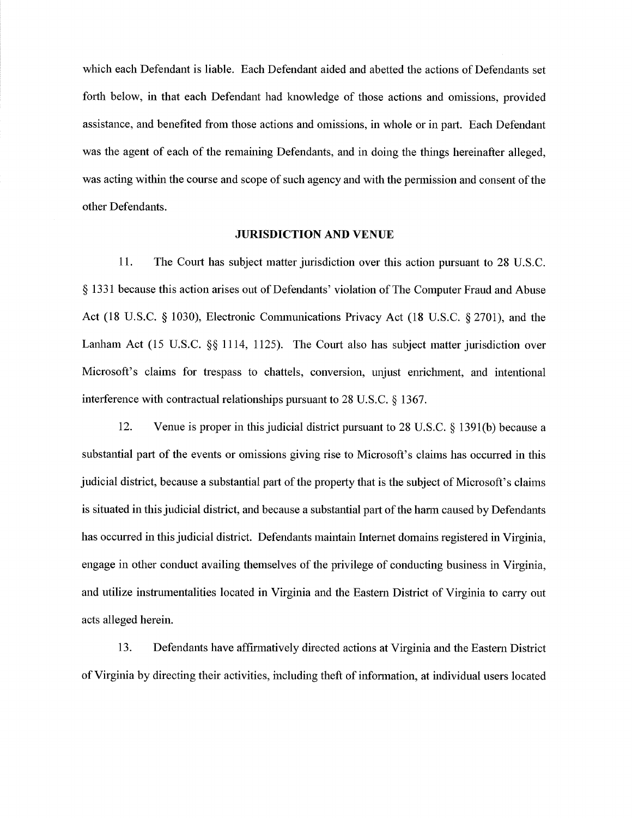which each Defendant is liable. Each Defendant aided and abetted the actions of Defendants set forth below, in that each Defendant had knowledge of those actions and omissions, provided assistance, and benefited from those actions and omissions, in whole or in part. Each Defendant was the agent of each of the remaining Defendants, and in doing the things hereinafter alleged, was acting within the course and scope of such agency and with the permission and consent of the other Defendants.

#### **JURISDICTION AND** VENUE

11. The Court has subject matter jurisdiction over this action pursuant to 28 U.S.C. § 1331 because this action arises out of Defendants' violation of The Computer Fraud and Abuse Act (18 U.S.C. § 1030), Electronic Communications Privacy Act (18 U.S.C. § 2701), and the Lanham Act (15 U.S.C.  $\S$  1114, 1125). The Court also has subject matter jurisdiction over Microsoft's claims for trespass to chattels, conversion, unjust enrichment, and intentional interference with contractual relationships pursuant to 28 U.S.C. § 1367.

12. Venue is proper in this judicial district pursuant to 28 U.S.C. § 1391(b) because a substantial part of the events or omissions giving rise to Microsoft's claims has occurred in this judicial district, because a substantial part of the property that is the subject of Microsoft's claims is situated in this judicial district, and because a substantial part of the harm caused by Defendants has occurred in thisjudicial district. Defendants maintain hitemet domains registered in Virginia, engage in other conduct availing themselves of the privilege of conducting business in Virginia, and utilize instrumentalities located in Virginia and the Eastern District of Virghiia to carry out acts alleged herein.

13. Defendants have affirmatively directed actions at Virginia and the Eastern District of Virginia by directing their activities, including theft of information, at individual users located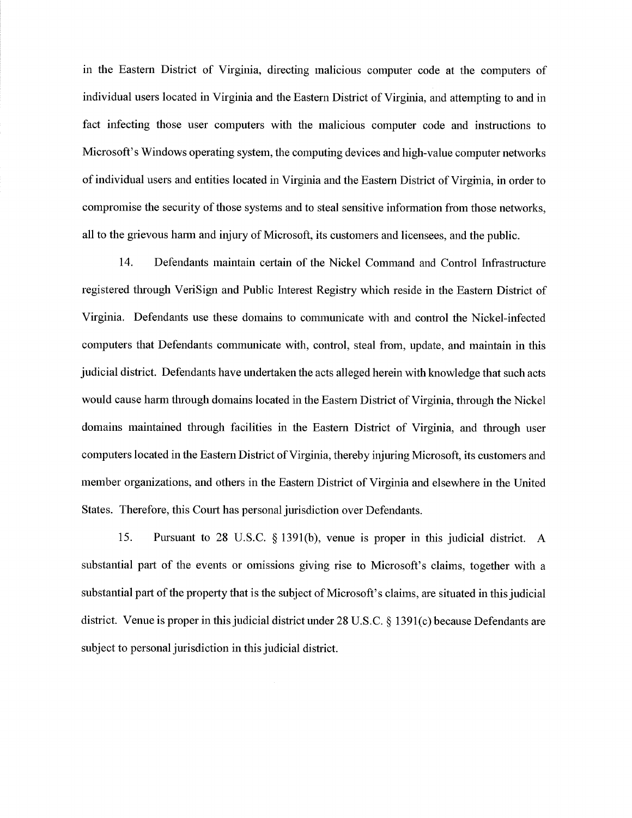in the Eastern District of Virginia, directing malicious computer code at the computers of individual users located in Virginia and the Eastern District of Virginia, and attempting to and in fact infecting those user computers with the malicious computer code and instructions to Microsoft's Windows operating system, the computmg devices and high-value computer networks of individual users and entities located in Virginia and the Eastern District of Virginia, in order to compromise the security of those systems and to steal sensitive information from those networks, all to the grievous harm and injury of Microsoft, its customers and licensees, and the public.

14. Defendants maintain certain of the Nickel Command and Control Infrastructure registered through VeriSign and Public Interest Registry which reside in the Eastern District of Virginia. Defendants use these domains to communicate with and control the Nickel-infected computers that Defendants communicate with, control, steal from, update, and maintain in tliis judicial district. Defendants have undertaken the acts alleged herein with knowledge that such acts would cause harm through domains located in the Eastern District of Virginia, through the Nickel domains maintained through facilities in the Eastern District of Virginia, and through user computers located in the Eastern District of Virginia, thereby injuring Microsoft, its customers and member organizations, and others in the Eastern District of Virginia and elsewhere in the United States. Therefore, this Court has personal jurisdiction over Defendants.

15. Pursuant to 28 U.S.C. § 1391(b), venue is proper in this judicial district. A substantial part of the events or omissions giving rise to Microsoft's claims, together with a substantial part of the property that is the subject of Microsoft's claims, are situated in this judicial district. Venue is proper in this judicial district under  $28 \text{ U.S.C.} \& 1391(c)$  because Defendants are subject to personal jurisdiction in this judicial district.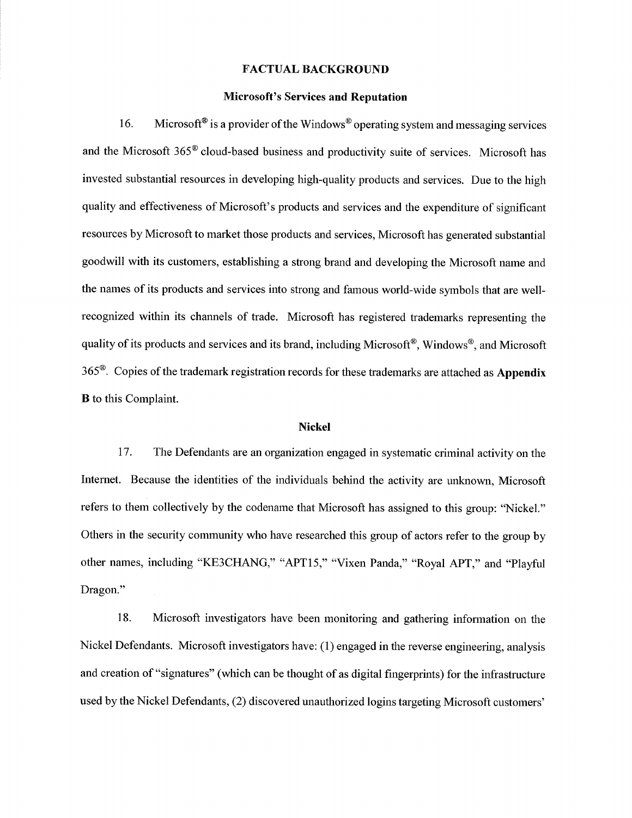# **FACTUAL BACKGROUND**

#### **Microsoft's Services and Reputation**

16. Microsoft<sup>®</sup> is a provider of the Windows<sup>®</sup> operating system and messaging services and the Microsoft 365<sup>®</sup> cloud-based business and productivity suite of services. Microsoft has invested substantial resources in developing high-quality products and services. Due to the high quality and effectiveness of Microsoft's products and services and the expenditure of significant resources by Microsoft to market those products and services, Microsoft has generated substantial goodwill with its customers, establishing a strong brand and developing the Microsoft name and the names of its products and services into strong and famous world-wide symbols that are wellrecognized within its channels of trade. Microsoft has registered trademarks representing the quality of its products and services and its brand, including Microsoft<sup>®</sup>, Windows<sup>®</sup>, and Microsoft 365®. Copies ofthe trademark registration records for these trademarks are attached as **Appendix B** to this Complaint.

#### **Nickel**

17. The Defendants are an organization engaged in systematic criminal activity on the Internet. Because the identities of the individuals behind the activity are unknown, Microsoft refers to them collectively by the codename that Microsoft has assigned to this group: "Nickel." Others in the security community who have researched this group of actors refer to the group by other names, including "KE3CHANG," "APT15," "Vixen Panda," "Royal APT," and "Playful Dragon."

18. Microsoft hivestigators have been monitoring and gathering information on the Nickel Defendants. Microsoft investigators have: (1) engaged in the reverse engineering, analysis and creation of "signatures" (which can be thought of as digital fingerprints) for the infrastructure used by the Nickel Defendants, (2) discovered unauthorized logins targeting Microsoft customers'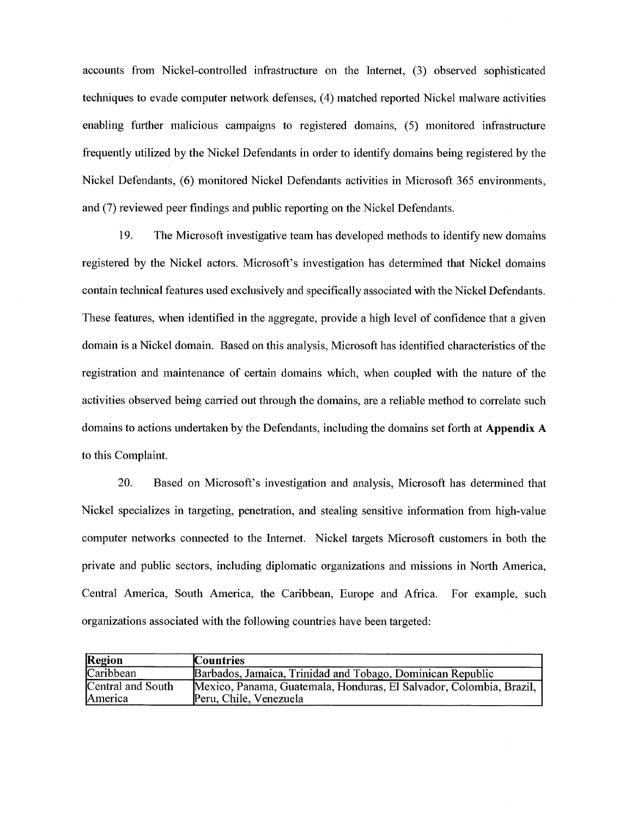accounts from Nickel-controlled infrastructure on the hrternet, (3) observed sophisticated techniques to evade computer network defenses, (4) matched reported Nickel malware activities enabling further malicious campaigns to registered domains, (5) monitored infrastructure frequently utilized by the Nickel Defendants in order to identify domains being registered by the Nickel Defendants, (6) monitored Nickel Defendants activities in Microsoft 365 environments, and (7) reviewed peer findings and public reporting on the Nickel Defendants.

19. The Microsoft investigative team has developed methods to identify new domams registered by the Nickel actors. Microsoft's investigation has detennmed that Nickel domains eontain teclmical features used exclusively and specifically associated with the Nickel Defendants. These features, when identified in the aggregate, provide a high level of confidence that a given domain is a Nickel domain. Based on this analysis, Microsoft has identified characteristics of the registration and maintenance of certam domains which, when coupled with the nature of the activities observed being carried out through the domains, are a reliable method to correlate such domains to actions undertaken by the Defendants, including the domains set forth at **Appendix** A to this Complaint.

20. Based on Microsoft's investigation and analysis, Mierosoft has detennined that Nickel specializes in targeting, penetration, and stealing sensitive information from high-value computer networks comiected to the hrternet. Nickel targets Microsoft customers in both the private and public sectors, including diplomatic organizations and missions in North America, Central America, South America, the Caribbean, Europe and Africa. For example, such organizations associated with the following countries have been targeted:

| <b>Region</b>                | <b>Countries</b>                                                                              |
|------------------------------|-----------------------------------------------------------------------------------------------|
| Caribbean                    | Barbados, Jamaica, Trinidad and Tobago, Dominican Republic                                    |
| Central and South<br>America | Mexico, Panama, Guatemala, Honduras, El Salvador, Colombia, Brazil,<br>Peru, Chile, Venezuela |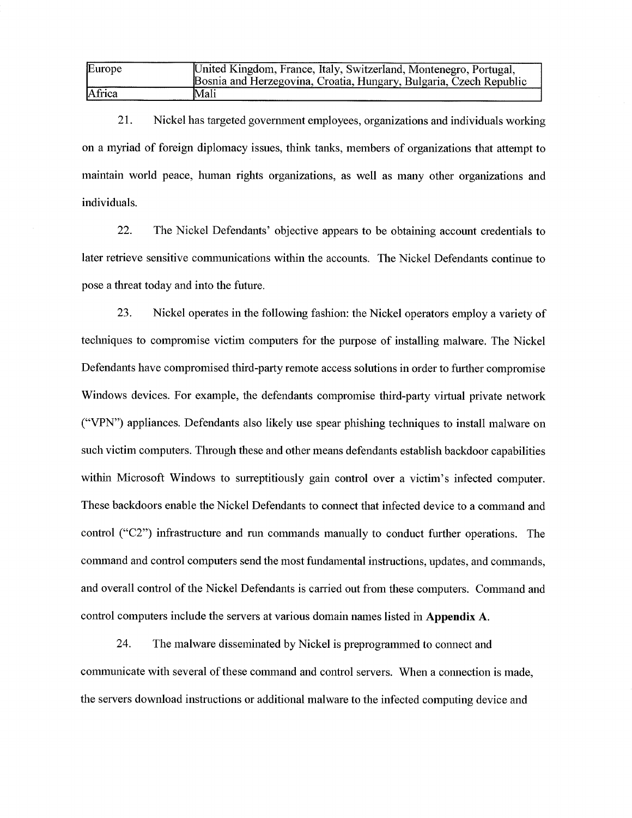| Europe | United Kingdom, France, Italy, Switzerland, Montenegro, Portugal,<br>Bosnia and Herzegovina, Croatia, Hungary, Bulgaria, Czech Republic |
|--------|-----------------------------------------------------------------------------------------------------------------------------------------|
| Africa | Mali                                                                                                                                    |

21. Nickel has targeted government employees, organizations and individuals working on a myriad of foreign diplomacy issues, think tanks, members of organizations that attempt to maintain world peace, human rights organizations, as well as many other organizations and individuals.

22. The Nickel Defendants' objective appears to be obtaining account credentials to later retrieve sensitive communications within the accounts. The Nickel Defendants continue to pose a threat today and into the future.

23. Nickel operates in the following fashion: the Nickel operators employ a variety of teclmiques to compromise victim computers for the purpose of installing malware. The Nickel Defendants have compromised third-party remote access solutions in order to further compromise Windows devices. For example, the defendants compromise third-party virtual private network ("VPN") appliances. Defendants also likely use spear phishing teclmiques to install malware on such victim computers. Tlirough these and other means defendants establish backdoor capabilities within Microsoft Windows to surreptitiously gain control over a victim's infected computer. These backdoors enable the Nickel Defendants to connect that infected device to a command and control ("C2") infrastructure and run commands manually to conduct further operations. The command and control computers send the most fundamental instructions, updates, and commands, and overall control of the Nickel Defendants is carried out from these computers. Command and control computers include the servers at various domain names listed in **Appendix A**.

24. The malware disseminated by Nickel is preprogrammed to connect and communicate with several of these command and control servers. When a connection is made, the servers download instructions or additional malware to the infected computing device and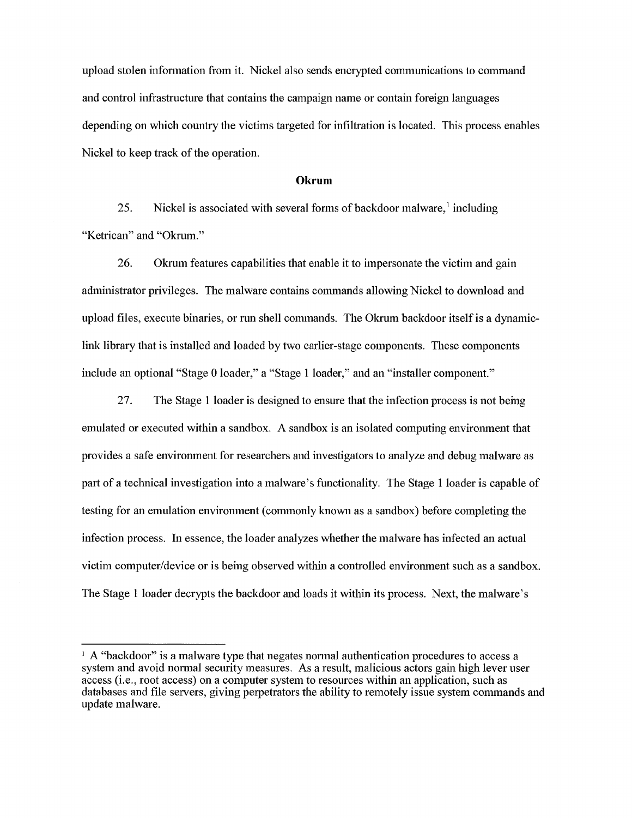upload stolen information from it. Nickel also sends encrypted communications to command and control infrastructure that contains the campaign name or contam foreign languages depending on which country the victims targeted for infiltration is located. This process enables Nickel to keep track of the operation.

#### **Okrum**

25. Nickel is associated with several forms of backdoor malware,  $\frac{1}{2}$  including "Ketrican" and "Okrum."

26. Okrum features capabilities that enable it to impersonate the victim and gain administrator privileges. The malware contains commands allowing Nickel to download and upload files, execute binaries, or run shell commands. The Okrum backdoor itself is a dynamiclink library that is installed and loaded by two earlier-stage components. These components include an optional "Stage 0 loader," a "Stage <sup>1</sup> loader," and an "installer component."

27. The Stage <sup>1</sup> loader is designed to ensure that the infection process is not bemg emulated or executed within a sandbox. A sandbox is an isolated computing environment that provides a safe environment for researchers and investigators to analyze and debug malware as part of a teclmical investigation into a malware's functionality. The Stage <sup>1</sup> loader is capable of testing for an emulation environment (commonly known as a sandbox) before completing the infection process. In essence, the loader analyzes whether the malware has infected an actual victim computer/device or is bemg observed within a controlled environment such as a sandbox. The Stage <sup>1</sup> loader decrypts the backdoor and loads it within its process. Next, the malware's

<sup>&</sup>lt;sup>1</sup> A "backdoor" is a malware type that negates normal authentication procedures to access a system and avoid normal security measures. As a result, malicious actors gain high lever user access (i.e., root access) on a computer system to resources within an application, such as databases and file servers, giving perpetrators the ability to remotely issue system commands and update malware.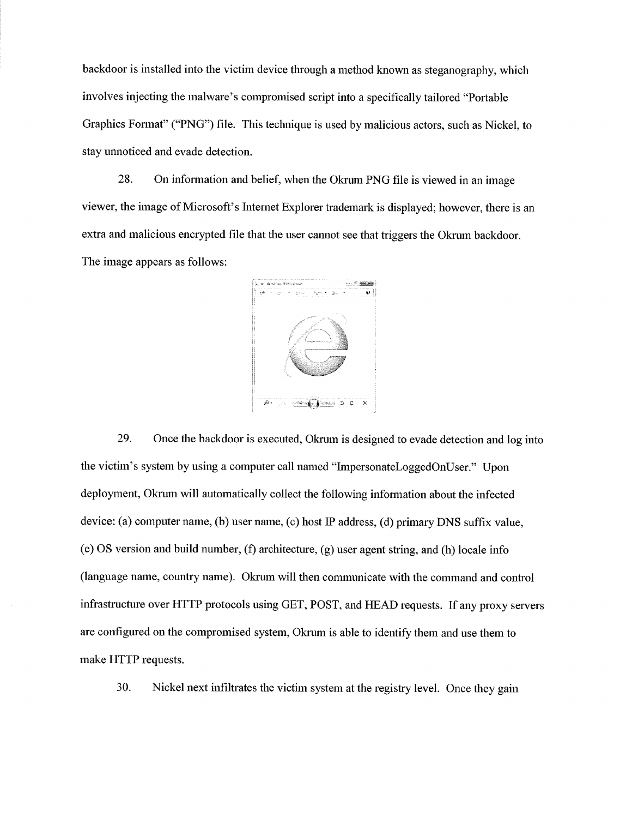backdoor is installed into the victim device through a method known as steganography, which involves injecting the malware's compromised script into a specifically tailored "Portable Graphics Format" ("PNG") file. This teclmique is used by malicious actors, such as Nickel, to stay unnoticed and evade detection.

28. On information and belief, when the Okrum PNG file is viewed in an image viewer, the image of Microsoft's Internet Explorer trademark is displayed; however, there is an extra and malicious encrypted file that the user cannot see that triggers the Okrum backdoor. The image appears as follows:



29. Once the backdoor is executed, Okrum is designed to evade detection and log into the victim's system by using a computer call named "ImpersonateLoggedOnUser." Upon deployment, Okrum will automatically collect the following information about the infected device: (a) computer name, (b) user name, (c) host IP address, (d) primary DNS suffix value, (e) OS version and build number, (f) architecture,  $(g)$  user agent string, and (h) locale info (language name, country name). Okrum will then communicate with the command and control infrastructure over HTTP protocols using GET, POST, and HEAD requests. If any proxy servers are configured on the compromised system, Okrum is able to identify them and use them to make HTTP requests.

30. Nickel next infiltrates the victim system at the registry level. Once they gain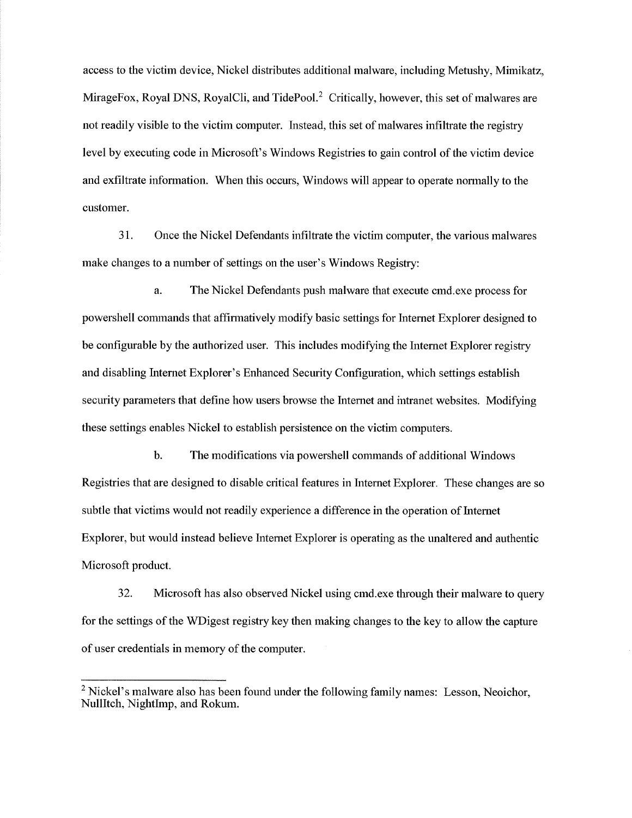access to the victim device, Nickel distributes additional malware, including Metushy, Mimikatz, MirageFox, Royal DNS, RoyalCli, and TidePool. $<sup>2</sup>$  Critically, however, this set of malwares are</sup> not readily visible to the victim computer. Instead, this set of malwares infiltrate the registry level by executing code in Microsoft's Windows Registries to gain control of the victim device and exfiltrate information. When this occurs, Windows will appear to operate normally to the customer.

31. Once the Nickel Defendants hifiltrate the victim computer, the various malwares make changes to a number of settings on the user's Windows Registry:

a. The Nickel Defendants push malware that execute cmd.exe process for powershell commands that affirmatively modify basic settings for Internet Explorer designed to be configurable by the authorized user. This includes modifying the hitemet Explorer registry and disabling hiternet Explorer's Enhanced Security Configuration, which settings establish security parameters that define how users browse the Internet and mtranet websites. Modifying these settings enables Nickel to establish persistence on the victim computers.

b. The modifications via powershell commands of additional Windows Registries that are designed to disable critical features in hiternet Explorer. These changes are so subtle that victims would not readily experience a difference in the operation of hitemet Explorer, but would instead believe hitemet Explorer is operating as the unaltered and authentic Microsoft product.

32. Microsoft has also observed Nickel using cmd.exe through their malware to query for the settings of the WDigest registry key then making changes to the key to allow the capture of user credentials in memory of the computer.

 $<sup>2</sup>$  Nickel's malware also has been found under the following family names: Lesson, Neoichor,</sup> NullItch, NightImp, and Rokum.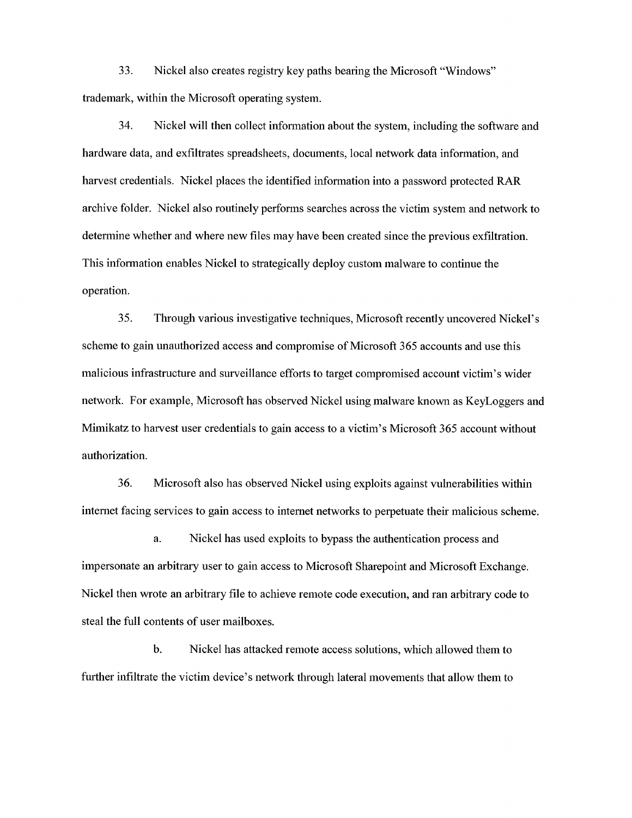33. Nickel also creates registry key paths bearing the Microsoft "Windows" trademark, within the Microsoft operating system.

34. Nickel will then collect infonnation about the system, including the software and hardware data, and exfiltrates spreadsheets, documents, local network data information, and harvest credentials. Nickel places the identified information into a password protected RAR archive folder. Nickel also routinely perfonns searches across the victim system and network to determine whether and where new files may have been created since the previous exfiltration. This information enables Nickel to strategically deploy custom malware to continue the operation.

35. Tlirough various investigative techniques, Microsoft recently uncovered Nickel's scheme to gain unauthorized access and compromise of Microsoft 365 accounts and use this malicious infrastructure and surveillance efforts to target compromised account victun's wider network. For example, Microsoft has observed Nickel using malware known as KeyLoggers and Mimikatz to harvest user credentials to gain access to a victim's Microsoft 365 account without authorization.

36. Microsoft also has observed Nickel using exploits against vulnerabilities within internet facing services to gain access to internet networks to perpetuate their malicious scheme.

a. Nickel has used exploits to bypass the authentication process and impersonate an arbitrary user to gain access to Microsoft Sharepoint and Microsoft Exchange. Nickel then wrote an arbitrary file to achieve remote code execution, and ran arbitrary code to steal the full contents of user mailboxes.

b. Nickel has attacked remote access solutions, which allowed them to further infiltrate the victim device's network through lateral movements that allow them to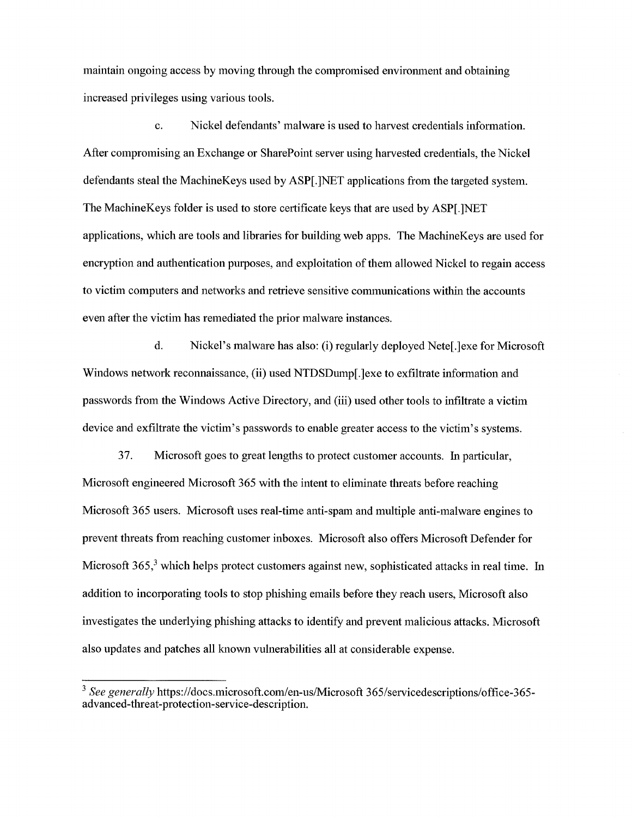maintain ongoing access by moving through the compromised environment and obtaining increased privileges using various tools.

c. Nickel defendants' malware is used to harvest credentials information. After compromising an Exchange or SharePoint server using harvested eredentials, the Niekel defendants steal the MacliineKeys used by ASP[.]NET applieations from the targeted system. The MaehineKeys folder is used to store certificate keys that are used by ASP[.]NET applications, which are tools and libraries for building web apps. The MaehineKeys are used for encryption and authentication purposes, and exploitation of them allowed Nickel to regain access to victim computers and networks and retrieve sensitive communications within the accounts even after the victim has remediated the prior malware instances.

d. Nickel's malware has also: (i) regularly deployed Nete[.]exe for Microsoft Windows network reconnaissance, (ii) used NTDSDump[.]exe to exfiltrate information and passwords from the Windows Active Directory, and (iii) used other tools to infiltrate a victim device and exfiltrate the victim's passwords to enable greater aeeess to the victim's systems.

37. Mierosoft goes to great lengths to protect customer aecounts. hi particular, Microsoft engineered Microsoft 365 with the intent to eliminate threats before reaching Microsoft 365 users. Microsoft uses real-time anti-spam and multiple anti-malware engines to prevent threats from reachhig customer inboxes. Microsoft also offers Microsoft Defender for Microsoft  $365<sup>3</sup>$  which helps protect customers against new, sophisticated attacks in real time. In addition to incorporating tools to stop phishing emails before they reach users, Microsoft also investigates the underlying phishing attacks to identify and prevent malicious attacks. Microsoft also updates and patches all known vulnerabilities all at considerable expense.

<sup>&</sup>lt;sup>3</sup> See generally https://docs.microsoft.com/en-us/Microsoft 365/servicedescriptions/office-365advanced-threat-protection-service-description.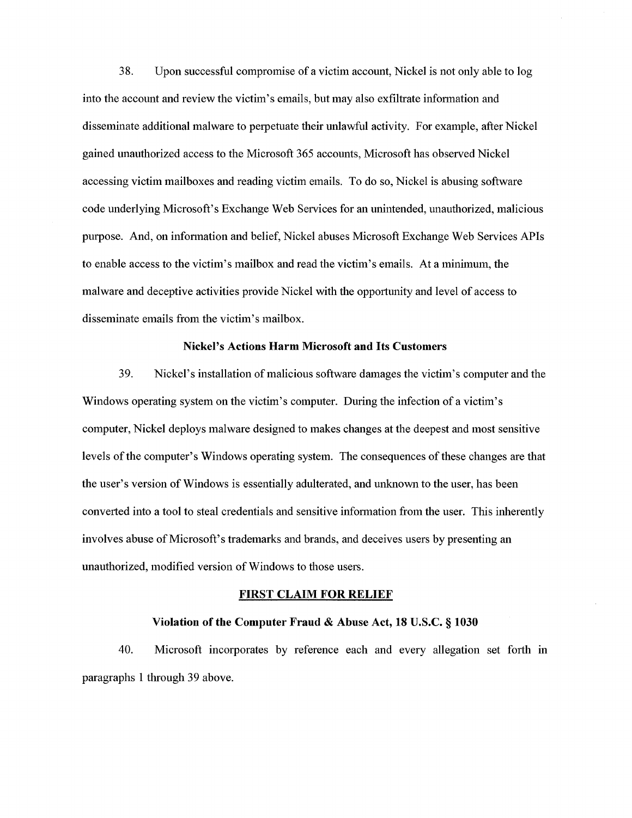38. Upon successful compromise of a victim account, Nickel is not only able to log into the account and review the victim's emails, but may also exfiltrate information and disseminate additional malware to perpetuate their unlawful activity. For example, after Nickel gained unauthorized access to the Microsoft 365 accounts, Microsoft has observed Nickel accessing victim mailboxes and reading victim emails. To do so, Nickel is abusing software code underlying Microsoft's Exchange Web Services for an unintended, unauthorized, malicious purpose. And, on information and belief. Nickel abuses Microsoft Exchange Web Services APIs to enable access to the victim's mailbox and read the victim's emails. At a minimum, the malware and deceptive activities provide Nickel with the opportunity and level of access to disseminate emails from the victim's mailbox.

#### **Nickel's Actions Harm Microsoft and Its Customers**

39. Nickel's installation of malicious software damages the victim's computer and the Windows operating system on the victim's computer. During the infection of a victim's computer. Nickel deploys malware designed to makes changes at the deepest and most sensitive levels of the computer's Windows operating system. The consequences of these changes are that the user's version ofWindows is essentially adulterated, and unknown to the user, has been converted into a tool to steal credentials and sensitive information from the user. This inherently involves abuse of Microsoft's trademarks and brands, and deceives users by presenting an unauthorized, modified version of Windows to those users.

#### **FIRST CLAIM FOR RELIEF**

#### **Violation of the Computer Fraud & Abuse Act, 18 U.S.C. § 1030**

40. Microsoft incorporates by reference each and every allegation set forth in paragraphs <sup>1</sup> through 39 above.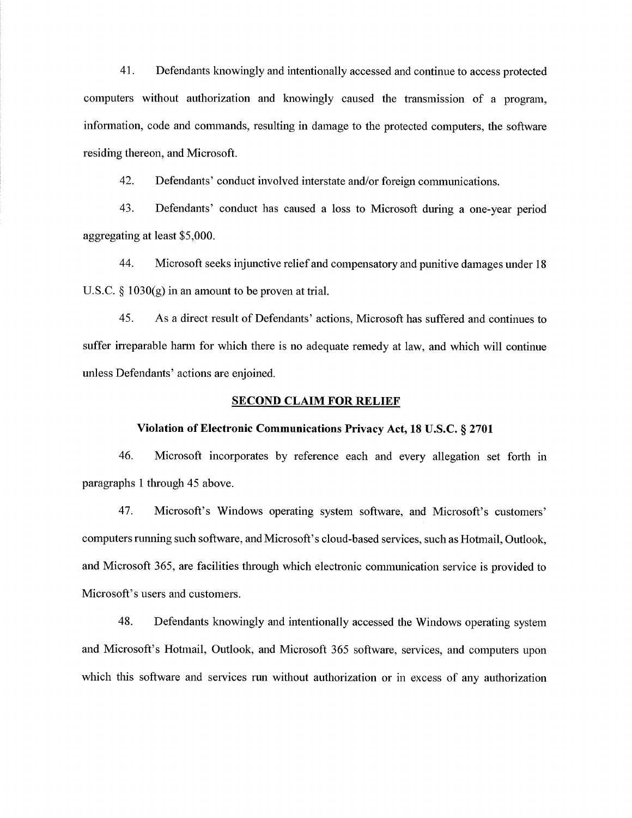41. Defendants knowingly and intentionally accessed and continue to access protected computers without authorization and knowingly caused the transmission of a program, information, code and commands, resulting in damage to the protected computers, the software residmg thereon, and Microsoft.

42. Defendants' conduct involved interstate and/or foreign communications.

43. Defendants' conduct has caused a loss to Microsoft during a one-year period aggregating at least \$5,000.

44. Microsoft seeks injunctive relief and compensatory and punitive damages under 18 U.S.C.  $\S$  1030(g) in an amount to be proven at trial.

45. Asa direct result of Defendants' actions, Microsoft has suffered and continues to suffer irreparable harm for which there is no adequate remedy at law, and which will continue unless Defendants' actions are enjoined.

#### **SECOND CLAIM FOR RELIEF**

#### **Violation ofElectronic Communications Privacy Act, 18 U.S.C. § 2701**

46. Microsoft incorporates by reference each and every allegation set forth in paragraphs 1 through 45 above.

47. Microsoft's Windows operating system software, and Microsoft's customers' computers running such software, and Microsoft's cloud-based services, such as Hotmail, Outlook, and Microsoft 365, are facilities through which electronic communication service is provided to Microsoft's users and customers.

48. Defendants knowingly and mtentionally accessed the Windows operating system and Microsoft's Hotmail, Outlook, and Microsoft 365 software, services, and computers upon which this software and services run without authorization or in excess of any authorization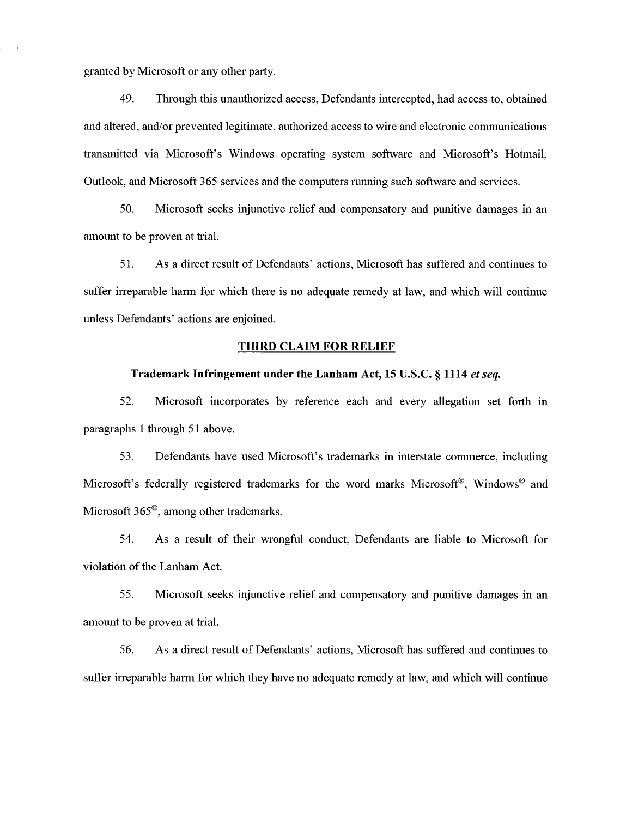granted by Microsoft or any other party.

49. Through this unauthorized access, Defendants intercepted, had access to, obtained and altered, and/or prevented legitimate, authorized access to wire and electronic communications transmitted via Microsoft's Windows operating system software and Microsoft's Hotmail, Outlook, and Microsoft 365 services and the computers running such software and services.

50. Microsoft seeks injunctive relief and compensatory and punitive damages in an amount to be proven at trial.

51. Asa direct result of Defendants' actions, Microsoft has suffered and continues to suffer irreparable harm for which there is no adequate remedy at law, and which will continue unless Defendants' actions are enjoined.

#### **TfflRD CLAIM FOR RELIEF**

#### **Trademark Infringement nnder the Lanham Act, 15 U.S.C. § 1114** *etseq.*

52. Microsoft incorporates by reference each and every allegation set forth in paragraphs 1 through 51 above.

53. Defendants have used Microsoft's trademarks in interstate commerce, including Microsoft's federally registered trademarks for the word marks Microsoft®, Windows® and Microsoft 365®, among other trademarks.

54. As a result of their wrongful conduct. Defendants are liable to Microsoft for violation of the Lanham Act.

55. Microsoft seeks injunctive relief and compensatory and punitive damages in an amount to be proven at trial.

56. As a direct result of Defendants' actions, Microsoft has suffered and continues to suffer irreparable harm for which they have no adequate remedy at law, and which will continue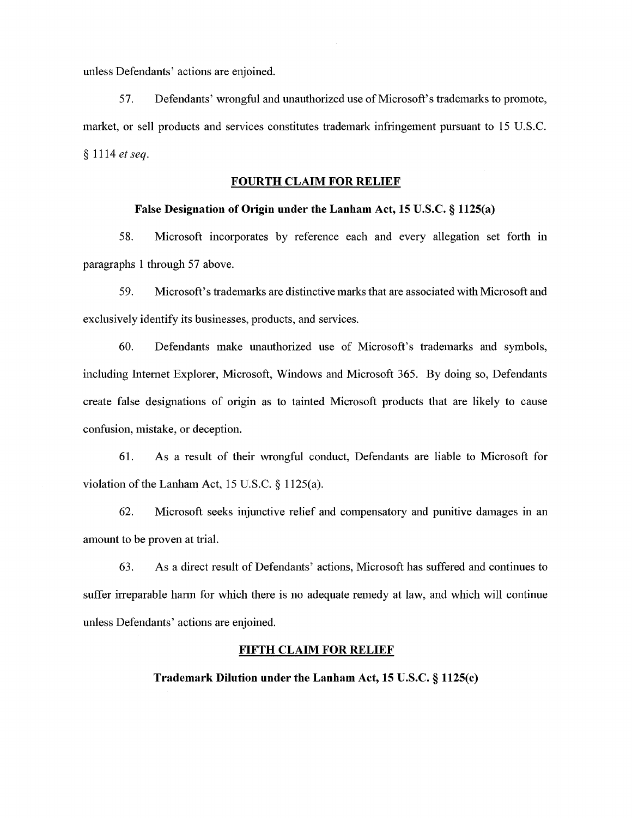unless Defendants' actions are enjoined.

57. Defendants' wrongful and unauthorized use ofMicrosoft's trademarks to promote, market, or sell products and services constitutes trademark infringement pursuant to 15 U.S.C. § 1114 *etseq.*

#### **FOURTH CLAIM FOR RELIEF**

#### **False Designation of Origin under the Lanham Act, 15 U.S.C. § 1125(a)**

58. Microsoft incorporates by reference each and every allegation set forth in paragraphs 1 through 57 above.

59. Microsoft's trademarks are distinctive marks that are associated with Microsoft and exclusively identify its businesses, products, and services.

60. Defendants make unauthorized use of Microsoft's trademarks and symbols, including Internet Explorer, Microsoft, Windows and Microsoft 365. By doing so. Defendants create false designations of origin as to tainted Microsoft products that are likely to cause confusion, mistake, or deception.

61. As a result of their wrongful conduct, Defendants are liable to Microsoft for violation of the Lanham Act,  $15$  U.S.C. §  $1125(a)$ .

62. Microsoft seeks injunctive relief and compensatory and punitive damages in an amount to be proven at trial.

63. As a direct result of Defendants' actions, Microsoft has suffered and continues to suffer irreparable hann for which there is no adequate remedy at law, and which will continue unless Defendants' actions are enjoined.

#### **FIFTH CLAIM FOR RELIEF**

**Trademark Dilution under the Lanham Act, 15 U.S.C. § 1125(c)**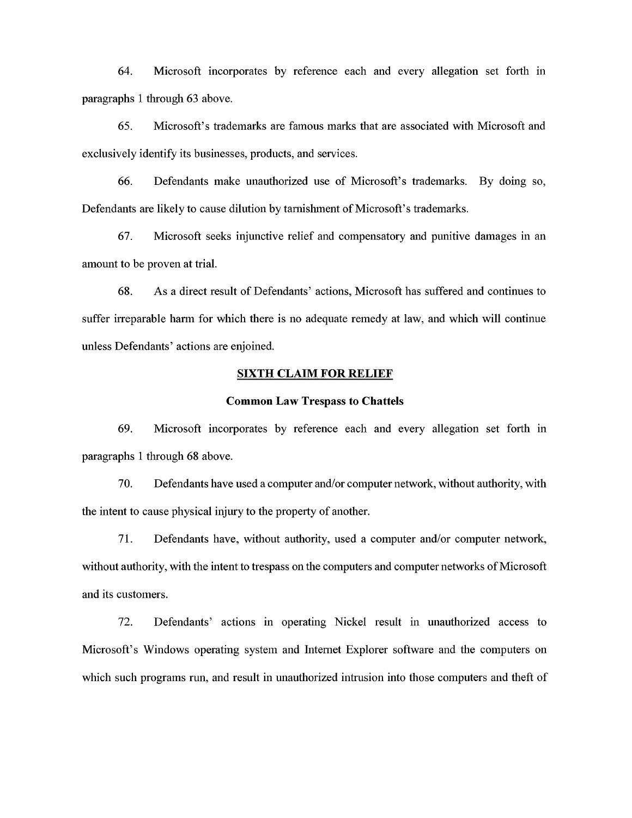64. Microsoft incorporates by reference each and every allegation set forth in paragraphs <sup>1</sup> through 63 above.

65. Microsoft's trademarks are famous marks that are associated with Microsoft and exclusively identify its businesses, products, and services.

66. Defendants make unauthorized use of Microsoft's trademarks. By doing so, Defendants are likely to cause dilution by tarnishment of Microsoft's trademarks.

67. Microsoft seeks injunctive relief and compensatory and punitive damages in an amount to be proven at trial.

68. Asa direct result of Defendants' actions, Microsoft has suffered and continues to suffer irreparable harm for which there is no adequate remedy at law, and which will continue unless Defendants' actions are enjoined.

#### **SIXTH CLAIM FOR RELIEF**

#### **Common Law Trespass to Chattels**

69. Microsoft incorporates by reference each and every allegation set forth in paragraphs <sup>1</sup> through 68 above.

70. Defendants have used a computer and/or eomputer network, without authority, with the intent to cause physical injury to the property of another.

71. Defendants have, without authority, used a computer and/or computer network, without authority, with the intent to trespass on the computers and computer networks of Microsoft and its customers.

72. Defendants' actions in operating Nickel result in unauthorized aecess to Microsoft's Windows operatmg system and hitemet Explorer software and the computers on which such programs run, and result in unauthorized intrusion into those computers and theft of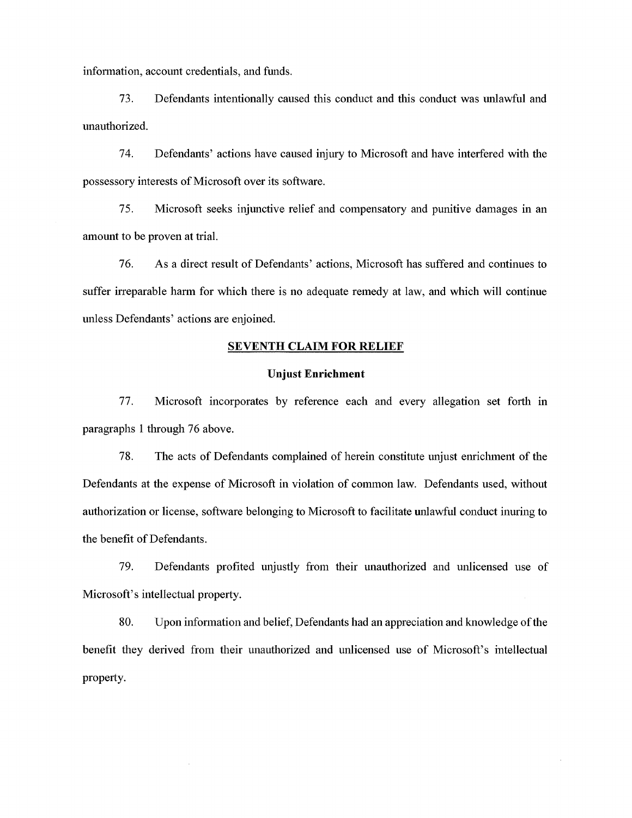information, account credentials, and funds.

73. Defendants intentionally caused this conduct and this conduct was unlawful and unauthorized.

74. Defendants' actions have caused injury to Microsoft and have interfered with the possessory interests of Microsoft over its software.

75. Microsoft seeks injunctive relief and compensatory and punitive damages in an amount to be proven at trial.

76. As a direct result of Defendants' actions, Microsoft has suffered and continues to suffer irreparable harm for which there is no adequate remedy at law, and which will continue unless Defendants' actions are enjoined.

# SEVENTH CLAIM FOR RELIEF

### **Unjust Enrichment**

77. Microsoft incorporates by reference each and every allegation set forth in paragraphs <sup>1</sup> through 76 above.

78. The acts of Defendants complained of herein constitute unjust enricliment of the Defendants at the expense of Microsoft in violation of common law. Defendants used, without authorization or license, software belonging to Microsoft to facilitate unlawful conduct inuring to the benefit of Defendants.

79. Defendants profited unjustly from their unauthorized and unlicensed use of Microsoft's intellectual property.

80. Upon information and belief, Defendants had an appreciation and knowledge of the benefit they derived from their unauthorized and unlicensed use of Microsoft's mtellectual property.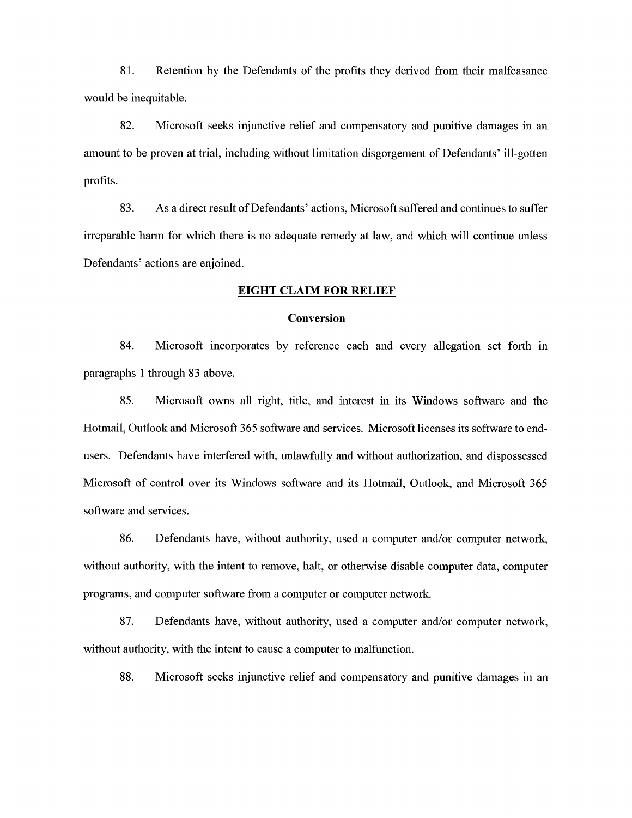81. Retention by the Defendants of the profits they derived from their malfeasance would be mequitable.

82. Microsoft seeks injunctive relief and compensatory and punitive damages in an amount to be proven at trial, mcluding without limitation disgorgement of Defendants' ill-gotten profits.

83. As a direct result of Defendants' actions, Microsoft suffered and continues to suffer irreparable harm for which there is no adequate remedy at law, and which will continue unless Defendants' actions are enjoined.

## **EIGHT CLAIM FOR RELIEF**

# **Conversion**

84. Microsoft incorporates by reference each and every allegation set forth in paragraphs <sup>1</sup> through 83 above.

85. Microsoft owns all right, title, and interest in its Windows software and the Hotmail, Outlook and Microsoft 365 software and services. Microsoft licenses its software to endusers. Defendants have interfered with, unlawfully and without authorization, and dispossessed Microsoft of control over its Windows software and its Hotmail, Outlook, and Microsoft 365 software and services.

86. Defendants have, without authority, used a computer and/or computer network, without authority, with the intent to remove, halt, or otherwise disable computer data, computer programs, and computer software from a computer or computer network.

87. Defendants have, without authority, used a computer and/or computer network, without authority, with the intent to cause a computer to malfunction.

88. Microsoft seeks injunctive relief and compensatory and punitive damages in an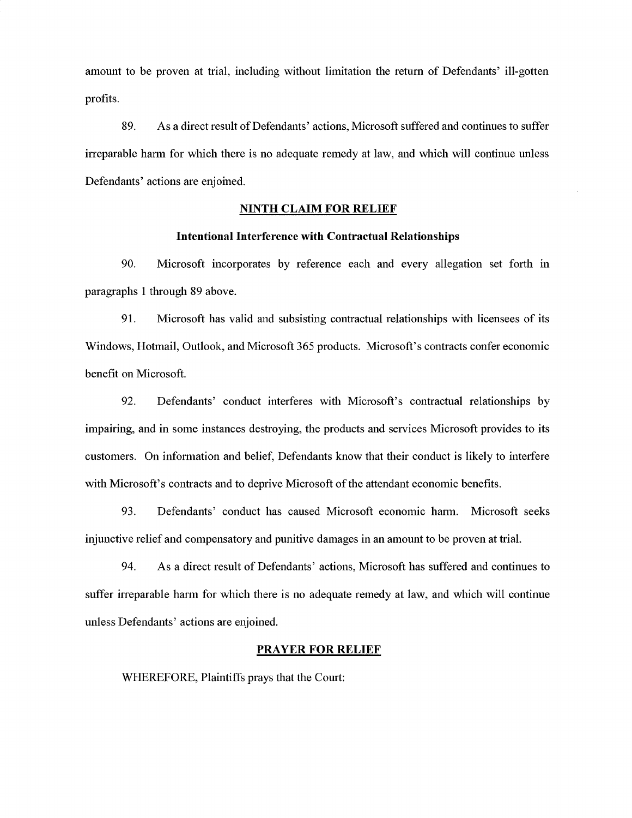amount to be proven at trial, including without limitation the return of Defendants' ill-gotten profits.

89. As a direct result of Defendants' actions, Microsoft suffered and continues to suffer irreparable harm for which there is no adequate remedy at law, and which will continue unless Defendants' actions are enjomed.

#### **NINTH CLAIM FOR RELIEF**

#### **Intentional Interference with Contractual Relationships**

90. Microsoft incorporates by reference each and every allegation set forth in paragraphs <sup>1</sup> through 89 above.

91. Microsoft has valid and subsisting contractual relationships with licensees of its Windows, Hotmail, Outlook, and Microsoft 365 products. Microsoft's contracts confer economic benefit on Microsoft.

92. Defendants' conduct interferes with Microsoft's contractual relationships by impairing, and in some instances destroying, the products and services Microsoft provides to its customers. On infomiation and belief. Defendants know that their conduct is likely to interfere with Microsoft's contracts and to deprive Microsoft of the attendant economic benefits.

93. Defendants' conduct has caused Microsoft economic harm. Microsoft seeks injunctive relief and compensatory and punitive damages in an amount to be proven at trial.

94. As a direct result of Defendants' actions, Microsoft has suffered and continues to suffer irreparable harm for which there is no adequate remedy at law, and which will continue unless Defendants' actions are enjoined.

#### **PRAYER FOR RELIEF**

WHEREFORE, Plaintiffs prays that the Court: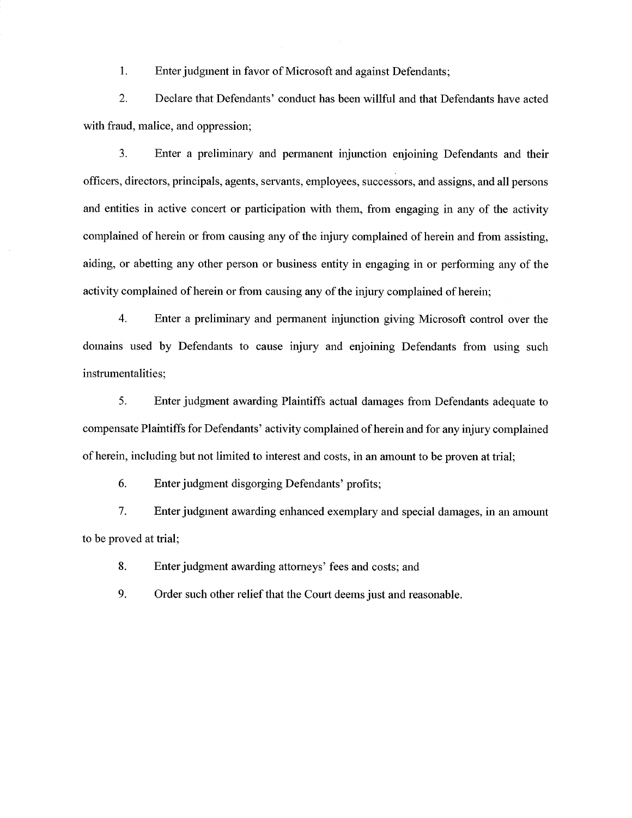1. Enter judgment in favor of Microsoft and against Defendants;

2. Declare that Defendants' conduct has been willful and that Defendants have acted with fraud, malice, and oppression;

3. Enter a preliminary and pennanent injunction enjoining Defendants and their officers, directors, principals, agents, servants, employees, successors, and assigns, and all persons and entities in active concert or participation with them, from engaging in any of the activity complained of herein or from causing any of the injury complained of herein and from assisting, aiding, or abetting any other person or business entity in engaging in or performing any of the activity complained of herein or from causing any of the injury complained of herein;

4. Enter a preliminary and permanent injunction giving Microsoft control over the domains used by Defendants to cause injury and enjoining Defendants from using such instrumentalities;

5. Enter judgment awarding Plaintiffs actual damages from Defendants adequate to compensate Plaintiffs for Defendants' activity complained of herein and for any injury complained of herein, including but not limited to interest and costs, in an amount to be proven at trial;

6. Enter judgment disgorging Defendants' profits;

7. Enter judgment awarding enhanced exemplary and special damages, in an amount to be proved at trial;

8. Enter judgment awarding attorneys' fees and costs; and

9. Order such other relief that the Court deems just and reasonable.